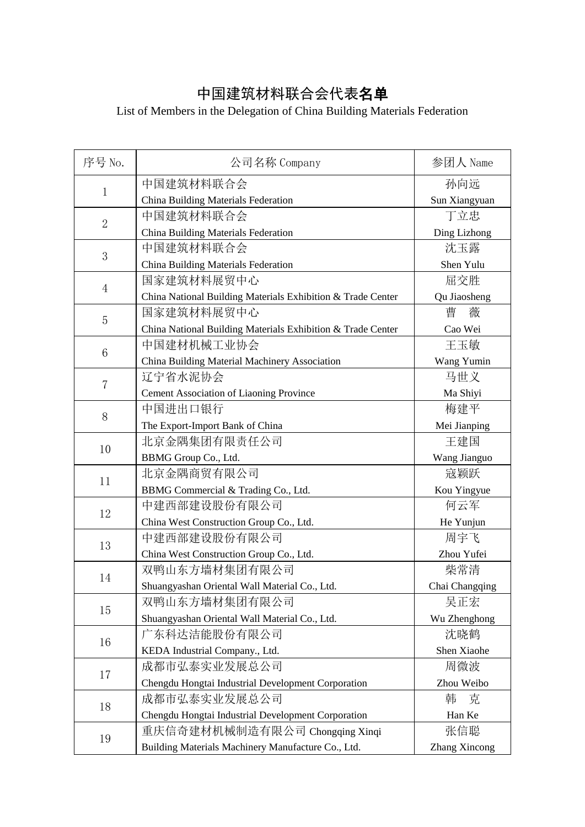## 中国建筑材料联合会代表名单

## List of Members in the Delegation of China Building Materials Federation

| 序号 No.         | 公司名称 Company                                                | 参团人 Name             |
|----------------|-------------------------------------------------------------|----------------------|
| $\mathbf 1$    | 中国建筑材料联合会                                                   | 孙向远                  |
|                | China Building Materials Federation                         | Sun Xiangyuan        |
| $\overline{2}$ | 中国建筑材料联合会                                                   | 丁立忠                  |
|                | China Building Materials Federation                         | Ding Lizhong         |
| 3              | 中国建筑材料联合会                                                   | 沈玉露                  |
|                | China Building Materials Federation                         | Shen Yulu            |
| $\overline{4}$ | 国家建筑材料展贸中心                                                  | 屈交胜                  |
|                | China National Building Materials Exhibition & Trade Center | Qu Jiaosheng         |
| 5              | 国家建筑材料展贸中心                                                  | 曹<br>薇               |
|                | China National Building Materials Exhibition & Trade Center | Cao Wei              |
| 6              | 中国建材机械工业协会                                                  | 王玉敏                  |
|                | China Building Material Machinery Association               | Wang Yumin           |
| $\overline{7}$ | 辽宁省水泥协会                                                     | 马世义                  |
|                | Cement Association of Liaoning Province                     | Ma Shiyi             |
| 8              | 中国进出口银行                                                     | 梅建平                  |
|                | The Export-Import Bank of China                             | Mei Jianping         |
| 10             | 北京金隅集团有限责任公司                                                | 王建国                  |
|                | BBMG Group Co., Ltd.                                        | Wang Jianguo         |
| 11             | 北京金隅商贸有限公司                                                  | 寇颖跃                  |
|                | BBMG Commercial & Trading Co., Ltd.                         | Kou Yingyue          |
| 12             | 中建西部建设股份有限公司                                                | 何云军                  |
|                | China West Construction Group Co., Ltd.                     | He Yunjun            |
| 13             | 中建西部建设股份有限公司                                                | 周宇飞                  |
|                | China West Construction Group Co., Ltd.                     | Zhou Yufei           |
| 14             | 双鸭山东方墙材集团有限公司                                               | 柴常清                  |
|                | Shuangyashan Oriental Wall Material Co., Ltd.               | Chai Changqing       |
| 15             | 双鸭山东方墙材集团有限公司                                               | 吴正宏                  |
|                | Shuangyashan Oriental Wall Material Co., Ltd.               | Wu Zhenghong         |
| 16             | 广东科达洁能股份有限公司                                                | 沈晓鹤                  |
|                | KEDA Industrial Company., Ltd.                              | Shen Xiaohe          |
| 17             | 成都市弘泰实业发展总公司                                                | 周微波                  |
|                | Chengdu Hongtai Industrial Development Corporation          | Zhou Weibo           |
| 18             | 成都市弘泰实业发展总公司                                                | 克<br>韩               |
|                | Chengdu Hongtai Industrial Development Corporation          | Han Ke               |
| 19             | 重庆信奇建材机械制造有限公司 Chongqing Xinqi                              | 张信聪                  |
|                | Building Materials Machinery Manufacture Co., Ltd.          | <b>Zhang Xincong</b> |